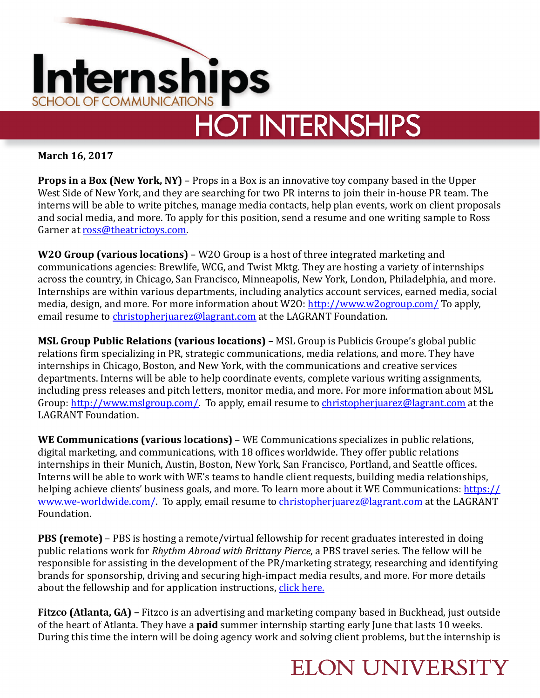

**March 16, 2017** 

**Props in a Box (New York, NY)** – Props in a Box is an innovative toy company based in the Upper West Side of New York, and they are searching for two PR interns to join their in-house PR team. The interns will be able to write pitches, manage media contacts, help plan events, work on client proposals and social media, and more. To apply for this position, send a resume and one writing sample to Ross Garner at [ross@theatrictoys.com.](mailto:ross@theatrictoys.com)

**W2O Group (various locations)** – W2O Group is a host of three integrated marketing and communications agencies: Brewlife, WCG, and Twist Mktg. They are hosting a variety of internships across the country, in Chicago, San Francisco, Minneapolis, New York, London, Philadelphia, and more. Internships are within various departments, including analytics account services, earned media, social media, design, and more. For more information about W2O: http://www.w2ogroup.com/ To apply, email resume to christopherjuarez@lagrant.com at the LAGRANT Foundation.

**MSL Group Public Relations (various locations)** – MSL Group is Publicis Groupe's global public relations firm specializing in PR, strategic communications, media relations, and more. They have internships in Chicago, Boston, and New York, with the communications and creative services departments. Interns will be able to help coordinate events, complete various writing assignments, including press releases and pitch letters, monitor media, and more. For more information about MSL Group: <http://www.mslgroup.com/>. To apply, email resume to christopherjuarez@lagrant.com at the LAGRANT Foundation.

**WE Communications (various locations)** – WE Communications specializes in public relations, digital marketing, and communications, with 18 offices worldwide. They offer public relations internships in their Munich, Austin, Boston, New York, San Francisco, Portland, and Seattle offices. Interns will be able to work with WE's teams to handle client requests, building media relationships, helping achieve clients' business goals, and more. To learn more about it WE Communications: https:// www.we-worldwide.com/. To apply, email resume to christopherjuarez@lagrant.com at the LAGRANT Foundation. 

**PBS (remote)** – PBS is hosting a remote/virtual fellowship for recent graduates interested in doing public relations work for *Rhythm Abroad with Brittany Pierce*, a PBS travel series. The fellow will be responsible for assisting in the development of the PR/marketing strategy, researching and identifying brands for sponsorship, driving and securing high-impact media results, and more. For more details about the fellowship and for application instructions, click here.

**Fitzco (Atlanta, GA)** – Fitzco is an advertising and marketing company based in Buckhead, just outside of the heart of Atlanta. They have a **paid** summer internship starting early June that lasts 10 weeks. During this time the intern will be doing agency work and solving client problems, but the internship is

## **ELON UNIVERSITY**